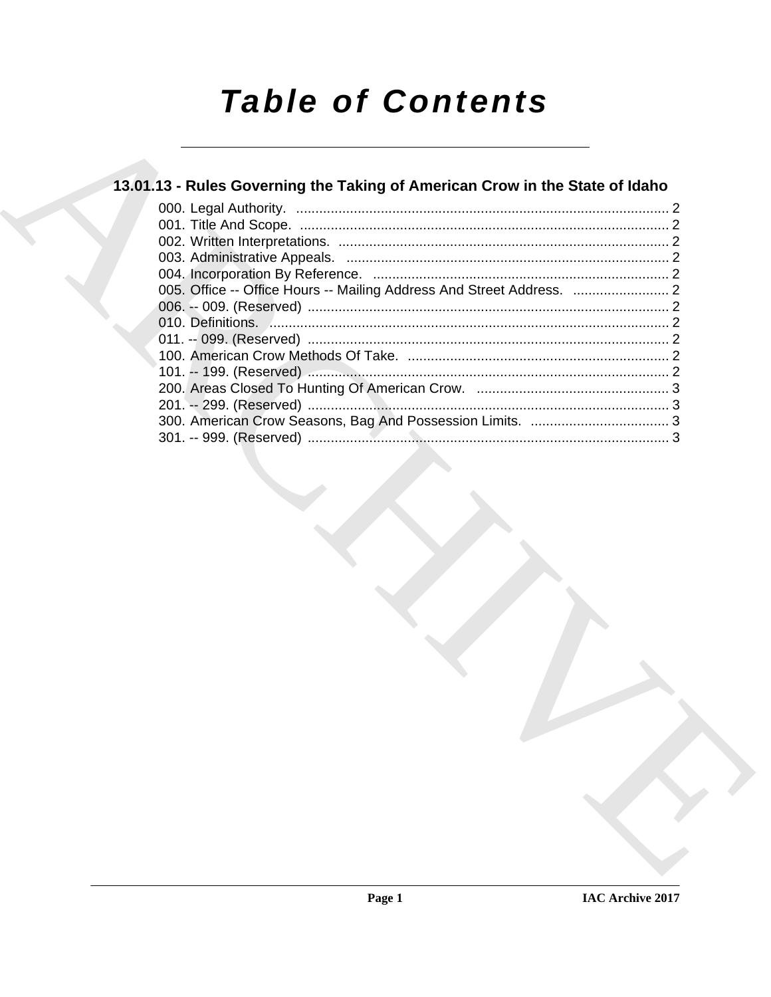# **Table of Contents**

### 13.01.13 - Rules Governing the Taking of American Crow in the State of Idaho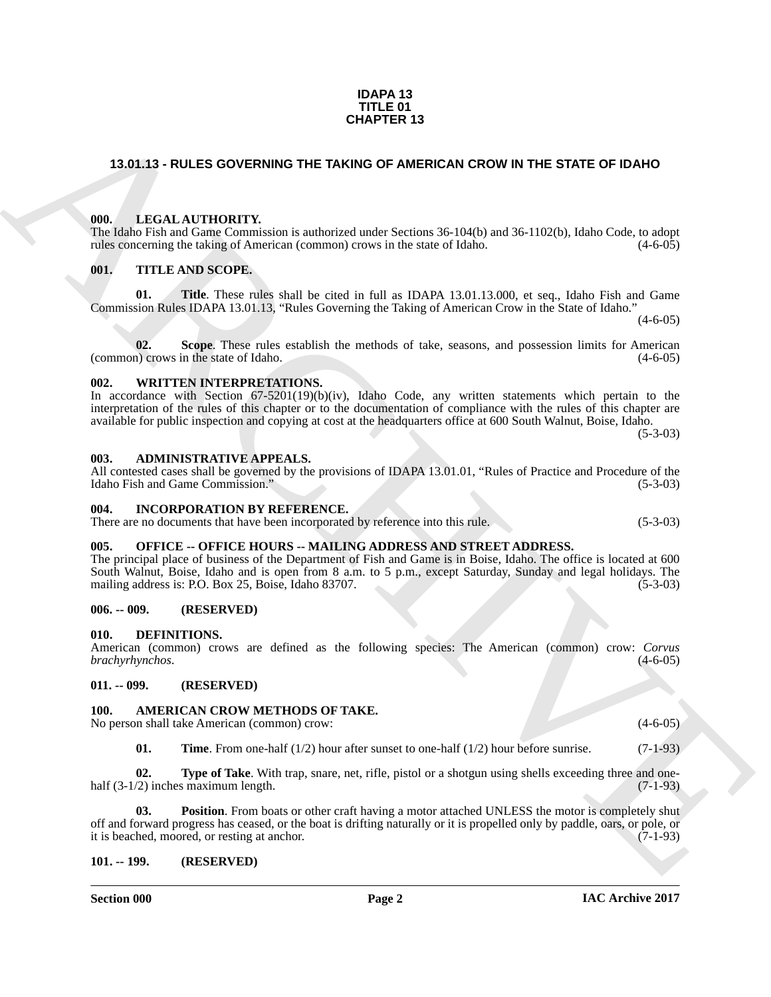#### **IAC Archive 2017**

#### **IDAPA 13 TITLE 01 CHAPTER 13**

#### <span id="page-1-0"></span>**13.01.13 - RULES GOVERNING THE TAKING OF AMERICAN CROW IN THE STATE OF IDAHO**

#### <span id="page-1-1"></span>**000. LEGAL AUTHORITY.**

The Idaho Fish and Game Commission is authorized under Sections 36-104(b) and 36-1102(b), Idaho Code, to adopt rules concerning the taking of American (common) crows in the state of Idaho. (4-6-05)

#### <span id="page-1-2"></span>**001. TITLE AND SCOPE.**

**01. Title**. These rules shall be cited in full as IDAPA 13.01.13.000, et seq., Idaho Fish and Game Commission Rules IDAPA 13.01.13, "Rules Governing the Taking of American Crow in the State of Idaho."

**02. Scope**. These rules establish the methods of take, seasons, and possession limits for American (common) crows in the state of Idaho. (4-6-05)

#### <span id="page-1-3"></span>**002. WRITTEN INTERPRETATIONS.**

#### In accordance with Section 67-5201(19)(b)(iv), Idaho Code, any written statements which pertain to the interpretation of the rules of this chapter or to the documentation of compliance with the rules of this chapter are available for public inspection and copying at cost at the headquarters office at 600 South Walnut, Boise, Idaho. (5-3-03)

<span id="page-1-4"></span>**003. ADMINISTRATIVE APPEALS.**

#### All contested cases shall be governed by the provisions of IDAPA 13.01.01, "Rules of Practice and Procedure of the Idaho Fish and Game Commission." (5-3-03)

#### <span id="page-1-5"></span>**004. INCORPORATION BY REFERENCE.**

There are no documents that have been incorporated by reference into this rule. (5-3-03)

#### <span id="page-1-6"></span>**005. OFFICE -- OFFICE HOURS -- MAILING ADDRESS AND STREET ADDRESS.**

**CHAPTER 13**<br>
13.01,13 - RULES GOVERNING THE TAKING OF AMERICAN CROW IN THE STATE OF IDANO<br>
16. **EVALUATION CONTINUOS**<br>
16. **EVALUATION CONTINUOS**<br>
16. **THE ANS SCOPE CONTINUOS**<br>
16. **CONTINUOS**<br>
16. **CONTINUOS**<br>
16. **CON** The principal place of business of the Department of Fish and Game is in Boise, Idaho. The office is located at 600 South Walnut, Boise, Idaho and is open from 8 a.m. to 5 p.m., except Saturday, Sunday and legal holidays. The mailing address is: P.O. Box 25, Boise, Idaho 83707. (5-3-03)

#### <span id="page-1-7"></span>**006. -- 009. (RESERVED)**

#### <span id="page-1-16"></span><span id="page-1-8"></span>**010. DEFINITIONS.**

American (common) crows are defined as the following species: The American (common) crow: *Corvus brachyrhynchos*. (4-6-05)

#### <span id="page-1-9"></span>**011. -- 099. (RESERVED)**

#### <span id="page-1-12"></span><span id="page-1-10"></span>**100. AMERICAN CROW METHODS OF TAKE.**

No person shall take American (common) crow: (4-6-05)

<span id="page-1-15"></span><span id="page-1-14"></span><span id="page-1-13"></span>**01.** Time. From one-half (1/2) hour after sunset to one-half (1/2) hour before sunrise. (7-1-93)

**02.** Type of Take. With trap, snare, net, rifle, pistol or a shotgun using shells exceeding three and onehalf (3-1/2) inches maximum length. (7-1-93)

**03. Position**. From boats or other craft having a motor attached UNLESS the motor is completely shut off and forward progress has ceased, or the boat is drifting naturally or it is propelled only by paddle, oars, or pole, or it is beached, moored, or resting at anchor. (7-1-93)

#### <span id="page-1-11"></span>**101. -- 199. (RESERVED)**

 $(4-6-05)$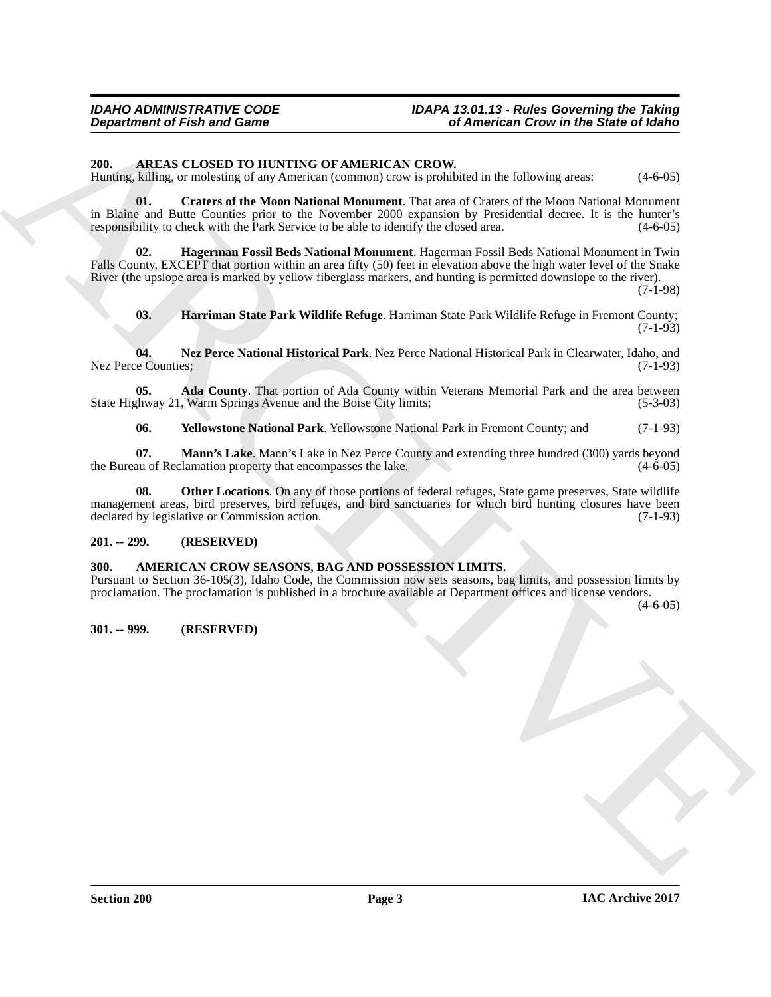#### *IDAHO ADMINISTRATIVE CODE IDAPA 13.01.13 - Rules Governing the Taking Department of Fish and Game of American Crow in the State of Idaho*

#### <span id="page-2-5"></span><span id="page-2-0"></span>**200. AREAS CLOSED TO HUNTING OF AMERICAN CROW.**

Hunting, killing, or molesting of any American (common) crow is prohibited in the following areas: (4-6-05)

<span id="page-2-7"></span>**01. Craters of the Moon National Monument**. That area of Craters of the Moon National Monument in Blaine and Butte Counties prior to the November 2000 expansion by Presidential decree. It is the hunter's responsibility to check with the Park Service to be able to identify the closed area. (4-6-05) responsibility to check with the Park Service to be able to identify the closed area.

**02. Hagerman Fossil Beds National Monument**. Hagerman Fossil Beds National Monument in Twin Falls County, EXCEPT that portion within an area fifty (50) feet in elevation above the high water level of the Snake River (the upslope area is marked by yellow fiberglass markers, and hunting is permitted downslope to the river).

(7-1-98)

<span id="page-2-11"></span><span id="page-2-9"></span><span id="page-2-8"></span>**03. Harriman State Park Wildlife Refuge**. Harriman State Park Wildlife Refuge in Fremont County; (7-1-93)

**04. Nez Perce National Historical Park**. Nez Perce National Historical Park in Clearwater, Idaho, and Nez Perce Counties;

**05. Ada County**. That portion of Ada County within Veterans Memorial Park and the area between shway 21, Warm Springs Avenue and the Boise City limits; (5-3-03) State Highway 21, Warm Springs Avenue and the Boise City limits;

<span id="page-2-13"></span><span id="page-2-12"></span><span id="page-2-10"></span><span id="page-2-6"></span>**06. Yellowstone National Park**. Yellowstone National Park in Fremont County; and (7-1-93)

**07. Mann's Lake**. Mann's Lake in Nez Perce County and extending three hundred (300) yards beyond au of Reclamation property that encompasses the lake. (4-6-05) the Bureau of Reclamation property that encompasses the lake.

**Department of Fish and Game<br>
2M. ARCHIVENG OF AMERICAN CROWN RESS CONTRACT CONTRACT (ACTION)**<br>
2M. ARCHIVENG OF CONTRACT CONTRACT AND INTERFECT OF AN INTERFECT OF A CONTRACT CONTRACT (ACTION)<br>
1970. The second distributi **08. Other Locations**. On any of those portions of federal refuges, State game preserves, State wildlife management areas, bird preserves, bird refuges, and bird sanctuaries for which bird hunting closures have been<br>declared by legislative or Commission action. (7-1-93) declared by legislative or Commission action.

#### <span id="page-2-1"></span>**201. -- 299. (RESERVED)**

#### <span id="page-2-4"></span><span id="page-2-2"></span>**300. AMERICAN CROW SEASONS, BAG AND POSSESSION LIMITS.**

Pursuant to Section 36-105(3), Idaho Code, the Commission now sets seasons, bag limits, and possession limits by proclamation. The proclamation is published in a brochure available at Department offices and license vendors.

 $(4-6-05)$ 

#### <span id="page-2-3"></span>**301. -- 999. (RESERVED)**